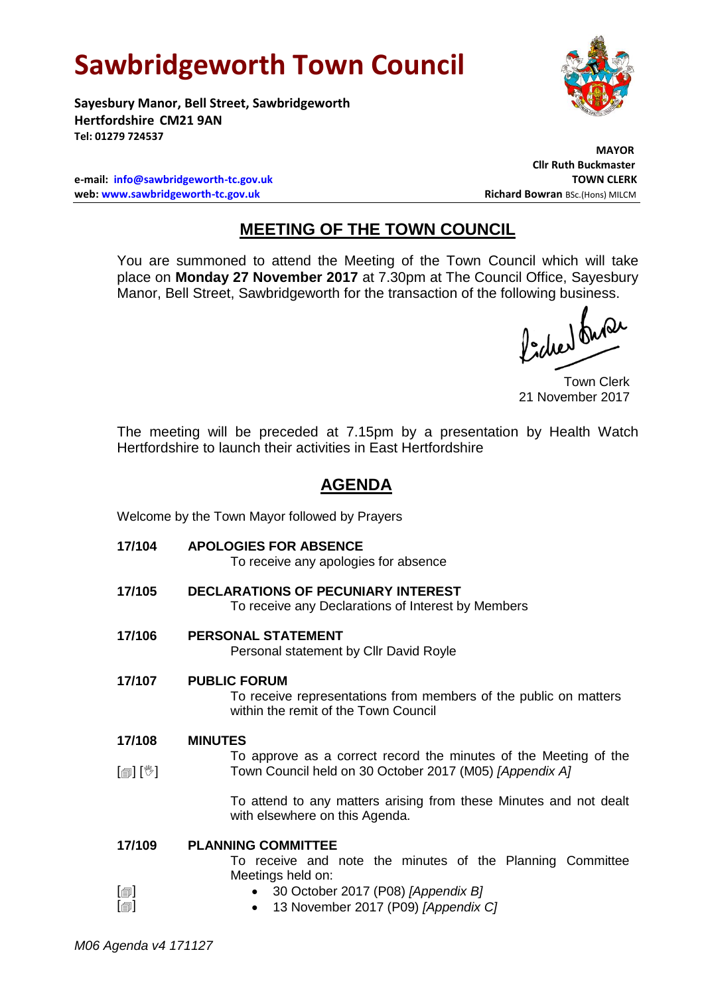# **Sawbridgeworth Town Council**

**Sayesbury Manor, Bell Street, Sawbridgeworth Hertfordshire CM21 9AN Tel: 01279 724537**

**e-mail: [info@sawbridgeworth-tc.gov.uk](mailto:info@sawbridgeworth-tc.gov.uk) TOWN CLERK web: www.sawbridgeworth-tc.gov.uk Richard Bowran BSc.(Hons) MILCM Richard Bowran BSc.(Hons) MILCM** 

# **MAYOR Cllr Ruth Buckmaster**

## **MEETING OF THE TOWN COUNCIL**

You are summoned to attend the Meeting of the Town Council which will take place on **Monday 27 November 2017** at 7.30pm at The Council Office, Sayesbury Manor, Bell Street, Sawbridgeworth for the transaction of the following business.

fidee buse

Town Clerk 21 November 2017

The meeting will be preceded at 7.15pm by a presentation by Health Watch Hertfordshire to launch their activities in East Hertfordshire

## **AGENDA**

Welcome by the Town Mayor followed by Prayers

**17/104 APOLOGIES FOR ABSENCE**

To receive any apologies for absence

- **17/105 DECLARATIONS OF PECUNIARY INTEREST** To receive any Declarations of Interest by Members
- **17/106 PERSONAL STATEMENT**

Personal statement by Cllr David Royle

- **17/107 PUBLIC FORUM** To receive representations from members of the public on matters within the remit of the Town Council
- **17/108 MINUTES**
- $\lceil \frac{m}{2} \rceil$   $\lceil \frac{m}{2} \rceil$ To approve as a correct record the minutes of the Meeting of the Town Council held on 30 October 2017 (M05) *[Appendix A]*

To attend to any matters arising from these Minutes and not dealt with elsewhere on this Agenda.

#### **17/109 PLANNING COMMITTEE**

To receive and note the minutes of the Planning Committee Meetings held on:

 $\lceil$  $\blacksquare$  $\lceil$  $\blacksquare$ 

- 30 October 2017 (P08) *[Appendix B]*
- 13 November 2017 (P09) *[Appendix C]*

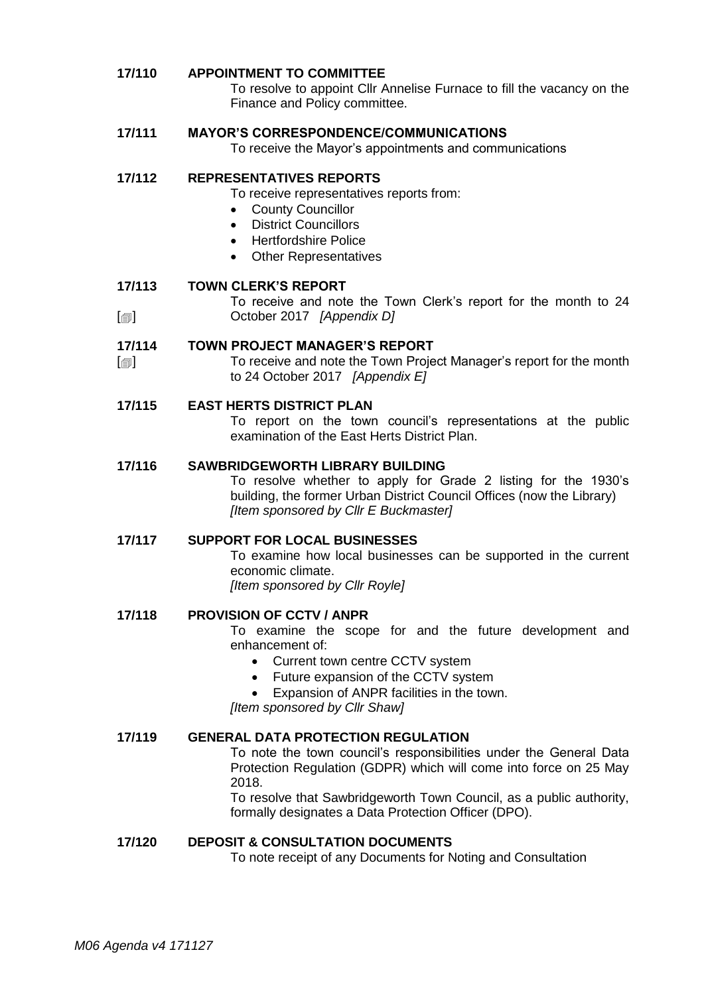#### **17/110 APPOINTMENT TO COMMITTEE**

To resolve to appoint Cllr Annelise Furnace to fill the vacancy on the Finance and Policy committee.

#### **17/111 MAYOR'S CORRESPONDENCE/COMMUNICATIONS**

To receive the Mayor's appointments and communications

#### **17/112 REPRESENTATIVES REPORTS**

To receive representatives reports from:

- County Councillor
- District Councillors
- Hertfordshire Police
- Other Representatives

#### **17/113 TOWN CLERK'S REPORT**

 $\lceil$ To receive and note the Town Clerk's report for the month to 24 October 2017 *[Appendix D]*

#### **17/114 TOWN PROJECT MANAGER'S REPORT**

 $\lceil$  $\blacksquare$ To receive and note the Town Project Manager's report for the month to 24 October 2017 *[Appendix E]*

#### **17/115 EAST HERTS DISTRICT PLAN**

To report on the town council's representations at the public examination of the East Herts District Plan.

#### **17/116 SAWBRIDGEWORTH LIBRARY BUILDING**

To resolve whether to apply for Grade 2 listing for the 1930's building, the former Urban District Council Offices (now the Library) *[Item sponsored by Cllr E Buckmaster]*

#### **17/117 SUPPORT FOR LOCAL BUSINESSES**

To examine how local businesses can be supported in the current economic climate.

*[Item sponsored by Cllr Royle]*

#### **17/118 PROVISION OF CCTV / ANPR**

To examine the scope for and the future development and enhancement of:

- Current town centre CCTV system
- Future expansion of the CCTV system
- Expansion of ANPR facilities in the town.

*[Item sponsored by Cllr Shaw]*

#### **17/119 GENERAL DATA PROTECTION REGULATION**

To note the town council's responsibilities under the General Data Protection Regulation (GDPR) which will come into force on 25 May 2018.

To resolve that Sawbridgeworth Town Council, as a public authority, formally designates a Data Protection Officer (DPO).

#### **17/120 DEPOSIT & CONSULTATION DOCUMENTS**

To note receipt of any Documents for Noting and Consultation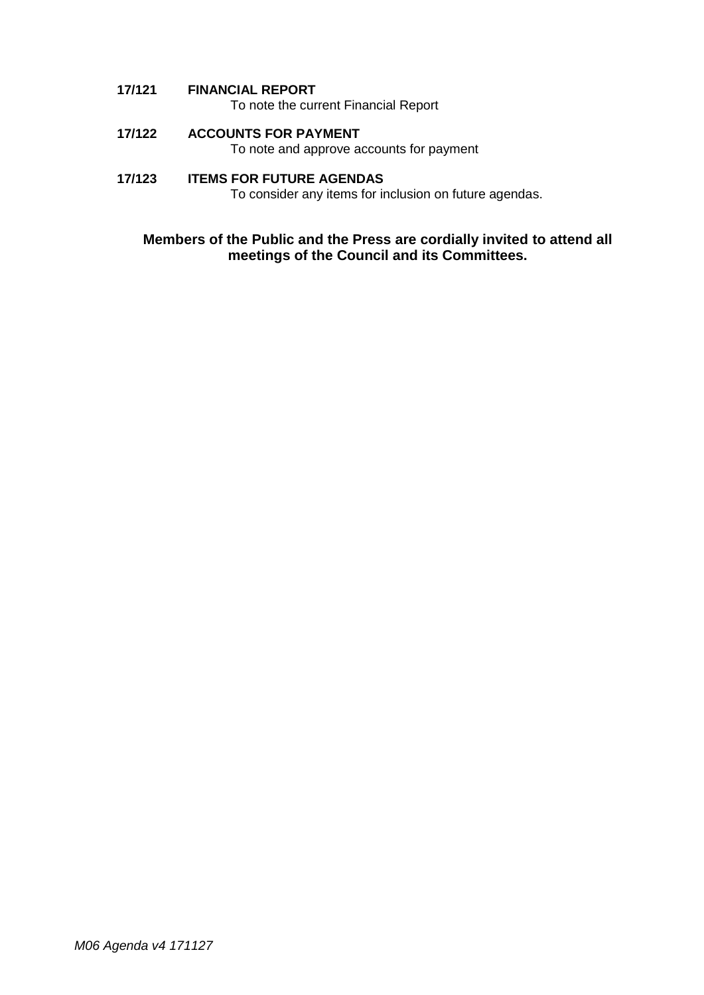**17/121 FINANCIAL REPORT**

To note the current Financial Report

**17/122 ACCOUNTS FOR PAYMENT**

To note and approve accounts for payment

### **17/123 ITEMS FOR FUTURE AGENDAS**

To consider any items for inclusion on future agendas.

### **Members of the Public and the Press are cordially invited to attend all meetings of the Council and its Committees.**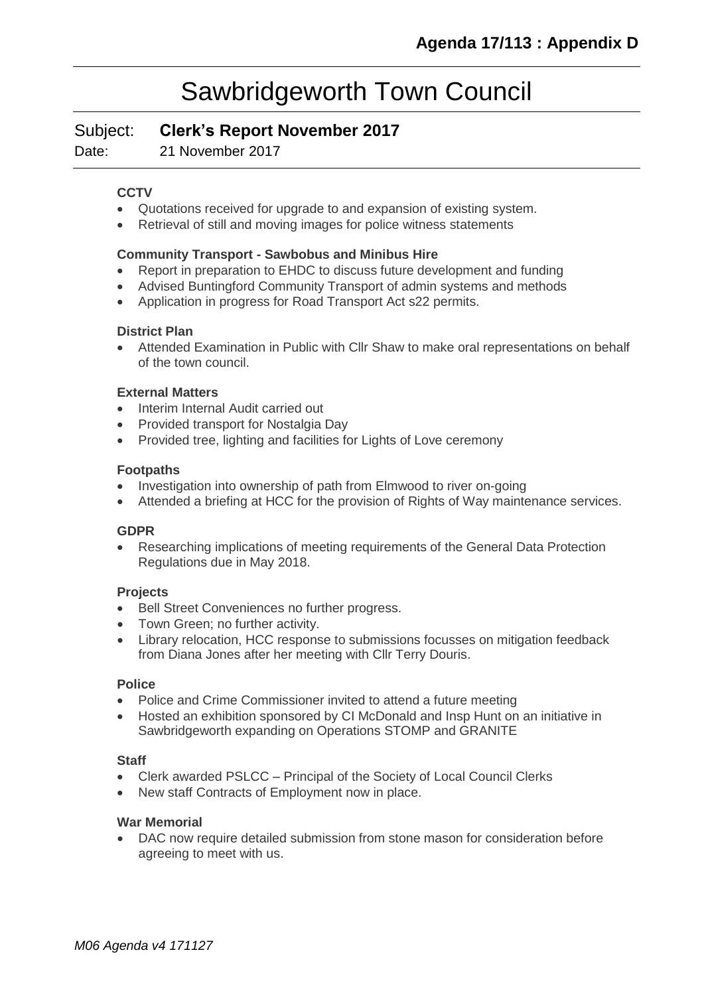## Sawbridgeworth Town Council

Subject: **Clerk's Report November 2017**

Date: 21 November 2017

#### **CCTV**

- Quotations received for upgrade to and expansion of existing system.
- Retrieval of still and moving images for police witness statements

#### **Community Transport - [Sawbobus](http://www.sawbridgeworth-tc.gov.uk/town-information/town-council-services/sawbobus) and [Minibus Hire](http://www.sawbridgeworth-tc.gov.uk/town-information/town-council-services/minibus-hire)**

- Report in preparation to EHDC to discuss future development and funding
- Advised Buntingford Community Transport of admin systems and methods
- Application in progress for Road Transport Act s22 permits.

#### **District Plan**

 Attended Examination in Public with Cllr Shaw to make oral representations on behalf of the town council.

#### **External Matters**

- Interim Internal Audit carried out
- Provided transport for Nostalgia Day
- Provided tree, lighting and facilities for Lights of Love ceremony

#### **Footpaths**

- Investigation into ownership of path from Elmwood to river on-going
- Attended a briefing at HCC for the provision of Rights of Way maintenance services.

#### **GDPR**

 Researching implications of meeting requirements of the General Data Protection Regulations due in May 2018.

#### **Projects**

- Bell Street Conveniences no further progress.
- Town Green; no further activity.
- Library relocation, HCC response to submissions focusses on mitigation feedback from Diana Jones after her meeting with Cllr Terry Douris.

#### **Police**

- Police and Crime Commissioner invited to attend a future meeting
- Hosted an exhibition sponsored by CI McDonald and Insp Hunt on an initiative in Sawbridgeworth expanding on Operations STOMP and GRANITE

#### **Staff**

- Clerk awarded PSLCC Principal of the Society of Local Council Clerks
- New staff Contracts of Employment now in place.

#### **War Memorial**

DAC now require detailed submission from stone mason for consideration before agreeing to meet with us.